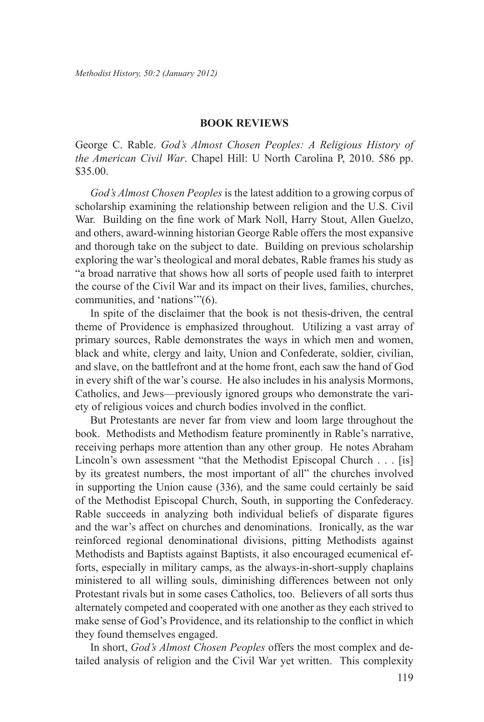## **Book Reviews**

George C. Rable. *God's Almost Chosen Peoples: A Religious History of the American Civil War*. Chapel Hill: U North Carolina P, 2010. 586 pp. \$35.00.

*God's Almost Chosen Peoples* is the latest addition to a growing corpus of scholarship examining the relationship between religion and the U.S. Civil War. Building on the fine work of Mark Noll, Harry Stout, Allen Guelzo, and others, award-winning historian George Rable offers the most expansive and thorough take on the subject to date. Building on previous scholarship exploring the war's theological and moral debates, Rable frames his study as "a broad narrative that shows how all sorts of people used faith to interpret the course of the Civil War and its impact on their lives, families, churches, communities, and 'nations'"(6).

In spite of the disclaimer that the book is not thesis-driven, the central theme of Providence is emphasized throughout. Utilizing a vast array of primary sources, Rable demonstrates the ways in which men and women, black and white, clergy and laity, Union and Confederate, soldier, civilian, and slave, on the battlefront and at the home front, each saw the hand of God in every shift of the war's course. He also includes in his analysis Mormons, Catholics, and Jews—previously ignored groups who demonstrate the variety of religious voices and church bodies involved in the conflict.

But Protestants are never far from view and loom large throughout the book. Methodists and Methodism feature prominently in Rable's narrative, receiving perhaps more attention than any other group. He notes Abraham Lincoln's own assessment "that the Methodist Episcopal Church . . . [is] by its greatest numbers, the most important of all" the churches involved in supporting the Union cause (336), and the same could certainly be said of the Methodist Episcopal Church, South, in supporting the Confederacy. Rable succeeds in analyzing both individual beliefs of disparate figures and the war's affect on churches and denominations. Ironically, as the war reinforced regional denominational divisions, pitting Methodists against Methodists and Baptists against Baptists, it also encouraged ecumenical efforts, especially in military camps, as the always-in-short-supply chaplains ministered to all willing souls, diminishing differences between not only Protestant rivals but in some cases Catholics, too. Believers of all sorts thus alternately competed and cooperated with one another as they each strived to make sense of God's Providence, and its relationship to the conflict in which they found themselves engaged.

In short, *God's Almost Chosen Peoples* offers the most complex and detailed analysis of religion and the Civil War yet written. This complexity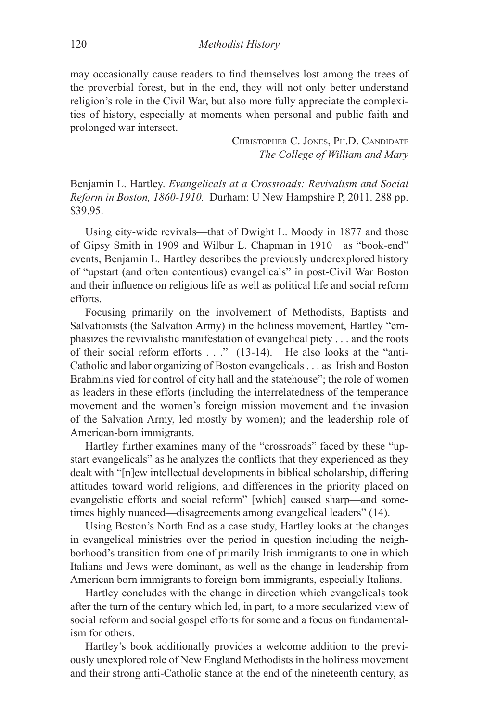may occasionally cause readers to find themselves lost among the trees of the proverbial forest, but in the end, they will not only better understand religion's role in the Civil War, but also more fully appreciate the complexities of history, especially at moments when personal and public faith and prolonged war intersect.

> Christopher C. Jones, Ph.D. Candidate *The College of William and Mary*

Benjamin L. Hartley. *Evangelicals at a Crossroads: Revivalism and Social Reform in Boston, 1860-1910.* Durham: U New Hampshire P, 2011. 288 pp. \$39.95.

Using city-wide revivals—that of Dwight L. Moody in 1877 and those of Gipsy Smith in 1909 and Wilbur L. Chapman in 1910—as "book-end" events, Benjamin L. Hartley describes the previously underexplored history of "upstart (and often contentious) evangelicals" in post-Civil War Boston and their influence on religious life as well as political life and social reform efforts.

Focusing primarily on the involvement of Methodists, Baptists and Salvationists (the Salvation Army) in the holiness movement, Hartley "emphasizes the revivialistic manifestation of evangelical piety . . . and the roots of their social reform efforts . . ." (13-14). He also looks at the "anti-Catholic and labor organizing of Boston evangelicals . . . as Irish and Boston Brahmins vied for control of city hall and the statehouse"; the role of women as leaders in these efforts (including the interrelatedness of the temperance movement and the women's foreign mission movement and the invasion of the Salvation Army, led mostly by women); and the leadership role of American-born immigrants.

Hartley further examines many of the "crossroads" faced by these "upstart evangelicals" as he analyzes the conflicts that they experienced as they dealt with "[n]ew intellectual developments in biblical scholarship, differing attitudes toward world religions, and differences in the priority placed on evangelistic efforts and social reform" [which] caused sharp—and sometimes highly nuanced—disagreements among evangelical leaders" (14).

Using Boston's North End as a case study, Hartley looks at the changes in evangelical ministries over the period in question including the neighborhood's transition from one of primarily Irish immigrants to one in which Italians and Jews were dominant, as well as the change in leadership from American born immigrants to foreign born immigrants, especially Italians.

Hartley concludes with the change in direction which evangelicals took after the turn of the century which led, in part, to a more secularized view of social reform and social gospel efforts for some and a focus on fundamentalism for others.

Hartley's book additionally provides a welcome addition to the previously unexplored role of New England Methodists in the holiness movement and their strong anti-Catholic stance at the end of the nineteenth century, as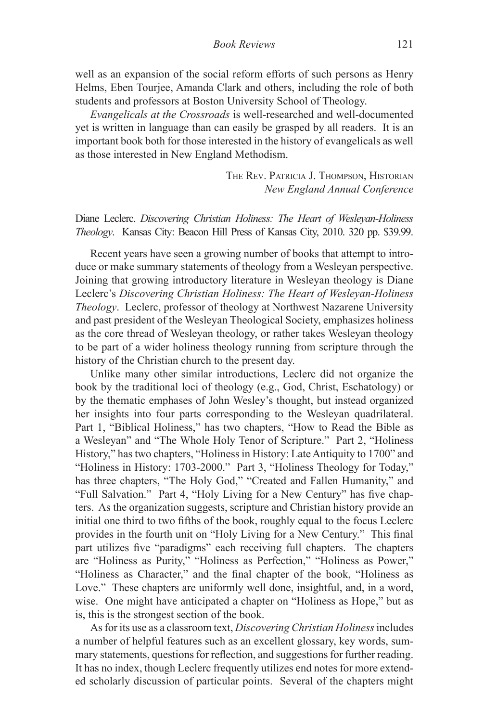well as an expansion of the social reform efforts of such persons as Henry Helms, Eben Tourjee, Amanda Clark and others, including the role of both students and professors at Boston University School of Theology.

*Evangelicals at the Crossroads* is well-researched and well-documented yet is written in language than can easily be grasped by all readers. It is an important book both for those interested in the history of evangelicals as well as those interested in New England Methodism.

> The Rev. Patricia J. Thompson, Historian *New England Annual Conference*

Diane Leclerc. *Discovering Christian Holiness: The Heart of Wesleyan-Holiness Theology*. Kansas City: Beacon Hill Press of Kansas City, 2010. 320 pp. \$39.99.

Recent years have seen a growing number of books that attempt to introduce or make summary statements of theology from a Wesleyan perspective. Joining that growing introductory literature in Wesleyan theology is Diane Leclerc's *Discovering Christian Holiness: The Heart of Wesleyan-Holiness Theology*. Leclerc, professor of theology at Northwest Nazarene University and past president of the Wesleyan Theological Society, emphasizes holiness as the core thread of Wesleyan theology, or rather takes Wesleyan theology to be part of a wider holiness theology running from scripture through the history of the Christian church to the present day.

Unlike many other similar introductions, Leclerc did not organize the book by the traditional loci of theology (e.g., God, Christ, Eschatology) or by the thematic emphases of John Wesley's thought, but instead organized her insights into four parts corresponding to the Wesleyan quadrilateral. Part 1, "Biblical Holiness," has two chapters, "How to Read the Bible as a Wesleyan" and "The Whole Holy Tenor of Scripture." Part 2, "Holiness History," has two chapters, "Holiness in History: Late Antiquity to 1700" and "Holiness in History: 1703-2000." Part 3, "Holiness Theology for Today," has three chapters, "The Holy God," "Created and Fallen Humanity," and "Full Salvation." Part 4, "Holy Living for a New Century" has five chapters. As the organization suggests, scripture and Christian history provide an initial one third to two fifths of the book, roughly equal to the focus Leclerc provides in the fourth unit on "Holy Living for a New Century." This final part utilizes five "paradigms" each receiving full chapters. The chapters are "Holiness as Purity," "Holiness as Perfection," "Holiness as Power," "Holiness as Character," and the final chapter of the book, "Holiness as Love." These chapters are uniformly well done, insightful, and, in a word, wise. One might have anticipated a chapter on "Holiness as Hope," but as is, this is the strongest section of the book.

As for its use as a classroom text, *Discovering Christian Holiness* includes a number of helpful features such as an excellent glossary, key words, summary statements, questions for reflection, and suggestions for further reading. It has no index, though Leclerc frequently utilizes end notes for more extended scholarly discussion of particular points. Several of the chapters might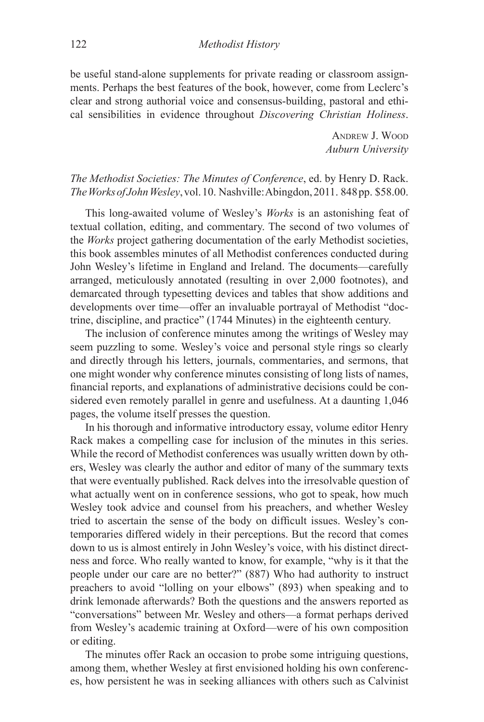be useful stand-alone supplements for private reading or classroom assignments. Perhaps the best features of the book, however, come from Leclerc's clear and strong authorial voice and consensus-building, pastoral and ethical sensibilities in evidence throughout *Discovering Christian Holiness*.

> Andrew J. Wood *Auburn University*

## *The Methodist Societies: The Minutes of Conference*, ed. by Henry D. Rack. *The Works of John Wesley*, vol. 10. Nashville: Abingdon, 2011. 848 pp. \$58.00.

This long-awaited volume of Wesley's *Works* is an astonishing feat of textual collation, editing, and commentary. The second of two volumes of the *Works* project gathering documentation of the early Methodist societies, this book assembles minutes of all Methodist conferences conducted during John Wesley's lifetime in England and Ireland. The documents—carefully arranged, meticulously annotated (resulting in over 2,000 footnotes), and demarcated through typesetting devices and tables that show additions and developments over time—offer an invaluable portrayal of Methodist "doctrine, discipline, and practice" (1744 Minutes) in the eighteenth century.

The inclusion of conference minutes among the writings of Wesley may seem puzzling to some. Wesley's voice and personal style rings so clearly and directly through his letters, journals, commentaries, and sermons, that one might wonder why conference minutes consisting of long lists of names, financial reports, and explanations of administrative decisions could be considered even remotely parallel in genre and usefulness. At a daunting 1,046 pages, the volume itself presses the question.

In his thorough and informative introductory essay, volume editor Henry Rack makes a compelling case for inclusion of the minutes in this series. While the record of Methodist conferences was usually written down by others, Wesley was clearly the author and editor of many of the summary texts that were eventually published. Rack delves into the irresolvable question of what actually went on in conference sessions, who got to speak, how much Wesley took advice and counsel from his preachers, and whether Wesley tried to ascertain the sense of the body on difficult issues. Wesley's contemporaries differed widely in their perceptions. But the record that comes down to us is almost entirely in John Wesley's voice, with his distinct directness and force. Who really wanted to know, for example, "why is it that the people under our care are no better?" (887) Who had authority to instruct preachers to avoid "lolling on your elbows" (893) when speaking and to drink lemonade afterwards? Both the questions and the answers reported as "conversations" between Mr. Wesley and others—a format perhaps derived from Wesley's academic training at Oxford—were of his own composition or editing.

The minutes offer Rack an occasion to probe some intriguing questions, among them, whether Wesley at first envisioned holding his own conferences, how persistent he was in seeking alliances with others such as Calvinist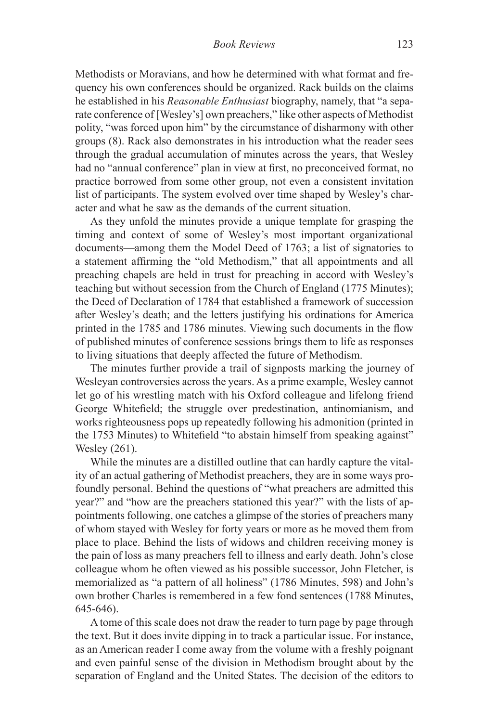Methodists or Moravians, and how he determined with what format and frequency his own conferences should be organized. Rack builds on the claims he established in his *Reasonable Enthusiast* biography, namely, that "a separate conference of [Wesley's] own preachers," like other aspects of Methodist polity, "was forced upon him" by the circumstance of disharmony with other groups (8). Rack also demonstrates in his introduction what the reader sees through the gradual accumulation of minutes across the years, that Wesley had no "annual conference" plan in view at first, no preconceived format, no practice borrowed from some other group, not even a consistent invitation list of participants. The system evolved over time shaped by Wesley's character and what he saw as the demands of the current situation.

As they unfold the minutes provide a unique template for grasping the timing and context of some of Wesley's most important organizational documents—among them the Model Deed of 1763; a list of signatories to a statement affirming the "old Methodism," that all appointments and all preaching chapels are held in trust for preaching in accord with Wesley's teaching but without secession from the Church of England (1775 Minutes); the Deed of Declaration of 1784 that established a framework of succession after Wesley's death; and the letters justifying his ordinations for America printed in the 1785 and 1786 minutes. Viewing such documents in the flow of published minutes of conference sessions brings them to life as responses to living situations that deeply affected the future of Methodism.

The minutes further provide a trail of signposts marking the journey of Wesleyan controversies across the years. As a prime example, Wesley cannot let go of his wrestling match with his Oxford colleague and lifelong friend George Whitefield; the struggle over predestination, antinomianism, and works righteousness pops up repeatedly following his admonition (printed in the 1753 Minutes) to Whitefield "to abstain himself from speaking against" Wesley (261).

While the minutes are a distilled outline that can hardly capture the vitality of an actual gathering of Methodist preachers, they are in some ways profoundly personal. Behind the questions of "what preachers are admitted this year?" and "how are the preachers stationed this year?" with the lists of appointments following, one catches a glimpse of the stories of preachers many of whom stayed with Wesley for forty years or more as he moved them from place to place. Behind the lists of widows and children receiving money is the pain of loss as many preachers fell to illness and early death. John's close colleague whom he often viewed as his possible successor, John Fletcher, is memorialized as "a pattern of all holiness" (1786 Minutes, 598) and John's own brother Charles is remembered in a few fond sentences (1788 Minutes, 645-646).

A tome of this scale does not draw the reader to turn page by page through the text. But it does invite dipping in to track a particular issue. For instance, as an American reader I come away from the volume with a freshly poignant and even painful sense of the division in Methodism brought about by the separation of England and the United States. The decision of the editors to